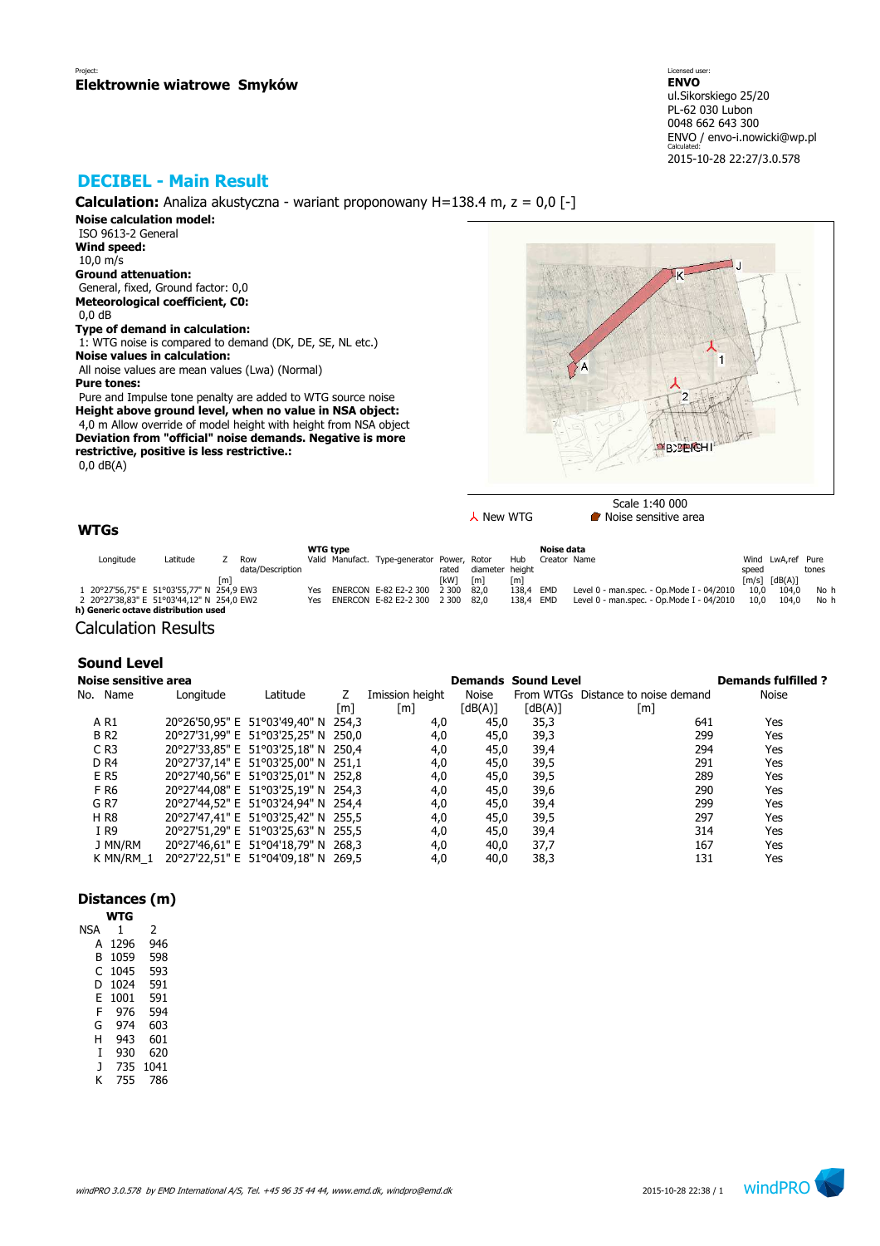# **DECIBEL - Main Result**

**Calculation:** Analiza akustyczna - wariant proponowany H=138.4 m, z = 0,0 [-]

**Noise calculation model:** ISO 9613-2 General **Wind speed:** 10,0 m/s **Ground attenuation:** General, fixed, Ground factor: 0,0 **Meteorological coefficient, C0:** 0,0 dB **Type of demand in calculation:** 1: WTG noise is compared to demand (DK, DE, SE, NL etc.) **Noise values in calculation:**

 All noise values are mean values (Lwa) (Normal) **Pure tones:**

 Pure and Impulse tone penalty are added to WTG source noise **Height above ground level, when no value in NSA object:** 4,0 m Allow override of model height with height from NSA object **Deviation from "official" noise demands. Negative is more restrictive, positive is less restrictive.:** 0,0 dB(A)



 $\lambda$  New WTG **Noise** sensitive area

## **WTGs**

|                                           |          |     |                  | <b>WTG type</b> |                                       |       |                 |            | Noise data   |                                           |                     |                   |       |
|-------------------------------------------|----------|-----|------------------|-----------------|---------------------------------------|-------|-----------------|------------|--------------|-------------------------------------------|---------------------|-------------------|-------|
| Longitude                                 | Latitude |     | Row              |                 | Valid Manufact. Type-generator Power. |       | Rotor           | <b>Hub</b> | Creator Name |                                           |                     | Wind LwA.ref Pure |       |
|                                           |          |     | data/Description |                 |                                       | rated | diameter height |            |              |                                           | speed               |                   | tones |
|                                           |          | [m] |                  |                 |                                       | [kW]  | [m]             | [m]        |              |                                           | $\lceil m/s \rceil$ | [dB(A)]           |       |
| 1 20°27'56,75" E 51°03'55,77" N 254,9 EW3 |          |     |                  | Yes             | ENERCON E-82 E2-2 300 2 300           |       | 82.0            | 138.4 EMD  |              | Level 0 - man.spec. - Op.Mode I - 04/2010 | 10.0                | 104.0             | No h  |
| 2 20°27'38.83" E 51°03'44.12" N 254.0 EW2 |          |     |                  | Yes             | ENERCON E-82 E2-2 300 2 300           |       | 82.0            | 138.4 EMD  |              | Level 0 - man.spec. - Op.Mode I - 04/2010 | 10.0                | 104.0             | No h  |
| h) Generic octave distribution used       |          |     |                  |                 |                                       |       |                 |            |              |                                           |                     |                   |       |

Calculation Results

## **Sound Level**

| Noise sensitive area |           |                                     |     |                 |         | <b>Demands Sound Level</b> |                                    | <b>Demands fulfilled ?</b> |
|----------------------|-----------|-------------------------------------|-----|-----------------|---------|----------------------------|------------------------------------|----------------------------|
| No. Name             | Longitude | Latitude                            |     | Imission height | Noise   |                            | From WTGs Distance to noise demand | <b>Noise</b>               |
|                      |           |                                     | [m] | [m]             | [dB(A)] | [dB(A)]                    | [m]                                |                            |
| A R1                 |           | 20°26'50,95" E 51°03'49,40" N 254,3 |     | 4,0             | 45,0    | 35,3                       | 641                                | Yes                        |
| <b>BR2</b>           |           | 20°27'31,99" E 51°03'25,25" N 250,0 |     | 4,0             | 45,0    | 39,3                       | 299                                | Yes                        |
| C <sub>R3</sub>      |           | 20°27'33,85" E 51°03'25,18" N 250,4 |     | 4,0             | 45,0    | 39,4                       | 294                                | Yes                        |
| D <sub>R4</sub>      |           | 20°27'37,14" E 51°03'25,00" N 251,1 |     | 4,0             | 45,0    | 39,5                       | 291                                | Yes                        |
| E R5                 |           | 20°27'40,56" E 51°03'25,01" N 252,8 |     | 4,0             | 45,0    | 39,5                       | 289                                | Yes                        |
| F R6                 |           | 20°27'44,08" E 51°03'25,19" N 254,3 |     | 4,0             | 45,0    | 39,6                       | 290                                | Yes                        |
| G R7                 |           | 20°27'44,52" E 51°03'24,94" N 254,4 |     | 4,0             | 45,0    | 39,4                       | 299                                | Yes                        |
| H R8                 |           | 20°27'47,41" E 51°03'25,42" N 255,5 |     | 4,0             | 45,0    | 39,5                       | 297                                | Yes                        |
| I R9                 |           | 20°27'51,29" E 51°03'25,63" N 255,5 |     | 4,0             | 45,0    | 39,4                       | 314                                | Yes                        |
| J MN/RM              |           | 20°27'46,61" E 51°04'18,79" N 268,3 |     | 4,0             | 40,0    | 37,7                       | 167                                | Yes                        |
| K MN/RM 1            |           | 20°27'22,51" E 51°04'09,18" N 269,5 |     | 4,0             | 40,0    | 38,3                       | 131                                | Yes                        |

#### **Distances (m) WTG**

|     | די ש |      |
|-----|------|------|
| NSA | 1    | 2    |
| А   | 1296 | 946  |
| B   | 1059 | 598  |
| C   | 1045 | 593  |
| D   | 1024 | 591  |
| E   | 1001 | 591  |
| F   | 976  | 594  |
| G   | 974  | 603  |
| Н   | 943  | 601  |
| I   | 930  | 620  |
| J   | 735  | 1041 |
| Κ   | 755  | 786  |

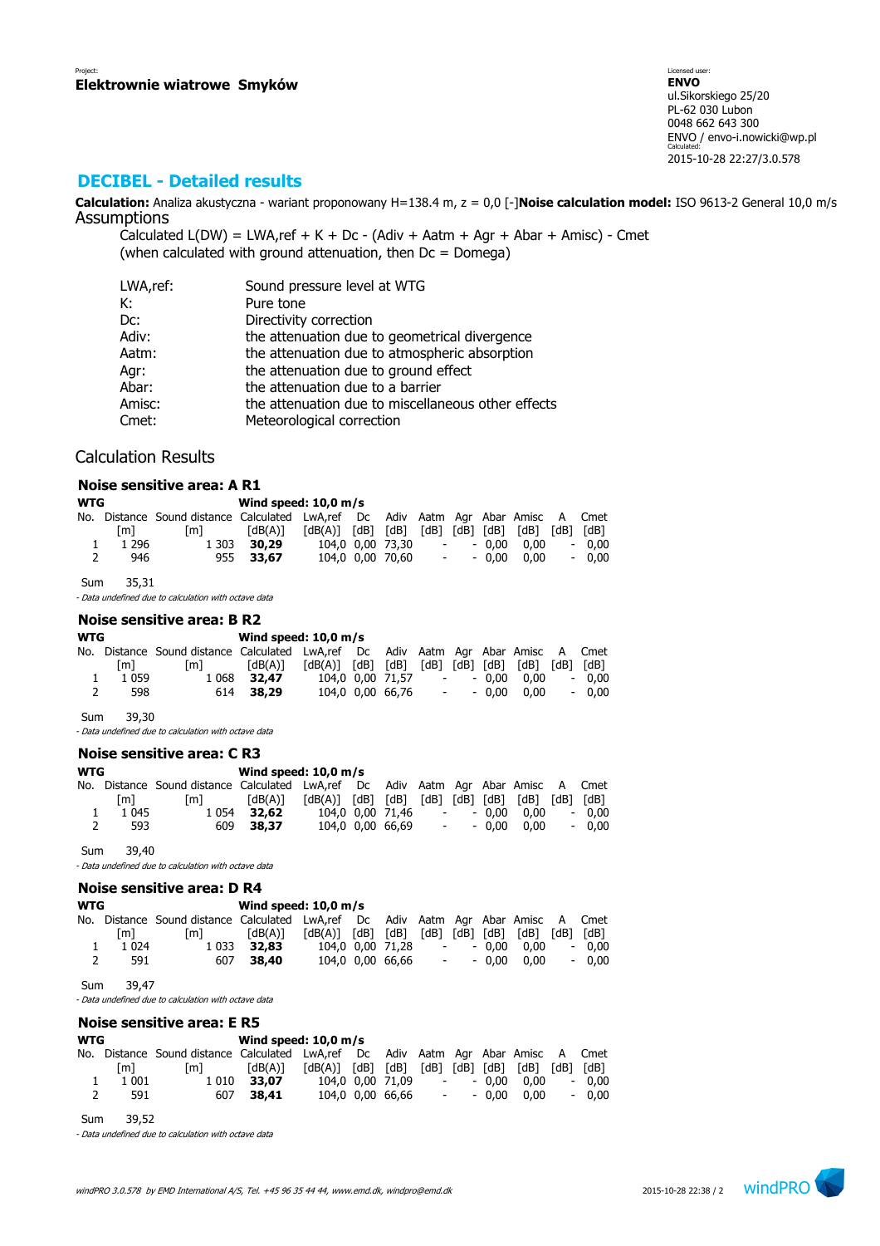## **DECIBEL - Detailed results**

**Calculation:** Analiza akustyczna - wariant proponowany H=138.4 m, z = 0,0 [-]**Noise calculation model:** ISO 9613-2 General 10,0 m/s **Assumptions** 

Calculated  $L(DW) = LWA, ref + K + Dc - (Adiv + Aatm + Agr + Abar + Amisc) - Cmet$ (when calculated with ground attenuation, then  $Dc = D$ omega)

| LWA,ref: | Sound pressure level at WTG                        |
|----------|----------------------------------------------------|
| К:       | Pure tone                                          |
| Dc:      | Directivity correction                             |
| Adiv:    | the attenuation due to geometrical divergence      |
| Aatm:    | the attenuation due to atmospheric absorption      |
| Agr:     | the attenuation due to ground effect               |
| Abar:    | the attenuation due to a barrier                   |
| Amisc:   | the attenuation due to miscellaneous other effects |
| Cmet:    | Meteorological correction                          |

## Calculation Results

| Noise sensitive area: A R1<br><b>WTG</b><br>Wind speed: $10,0$ m/s<br>No. Distance Sound distance Calculated LwA,ref Dc<br>Adiv Aatm Agr Abar Amisc<br>$\lceil dB(A) \rceil$ $\lceil dB \rceil$<br>[dB]<br>$[dB]$ $[dB]$ $[dB]$<br>$\lceil m \rceil$<br>$\lceil dB(A) \rceil$<br>[dB]<br>$\lceil m \rceil$<br>1 2 9 6<br>104,0 0,00 73,30<br>$-0.00$<br>1 3 0 3<br>30,29<br>0,00<br>1<br>$\overline{\phantom{a}}$<br>$\overline{2}$<br>104,0 0,00 70,60<br>$-0.00$<br>946<br>955<br>33,67<br>0,00<br>$\overline{\phantom{a}}$<br>35,31<br>Sum<br>- Data undefined due to calculation with octave data<br>Noise sensitive area: B R2<br><b>WTG</b><br>Wind speed: $10,0 \text{ m/s}$<br>No. Distance Sound distance Calculated LwA,ref<br>Dc<br>Adiv<br>Aatm Agr Abar Amisc<br>$\lceil dB(A) \rceil$<br>$\lceil dB(A) \rceil$ $\lceil dB \rceil$<br>[dB]<br>$[dB]$ $[dB]$ $[dB]$<br>[dB]<br>[m]<br>$\lceil m \rceil$<br>104,0 0,00 71,57<br>$-0.00$<br>1 0 5 9<br>32,47<br>0,00<br>1<br>1 068<br>$\sim$<br>$\overline{2}$<br>104,0 0,00 66,76<br>598<br>614<br>38,29<br>$-0.00$<br>0,00<br>$\sim$ 100 $\mu$<br>39,30<br>Sum<br>- Data undefined due to calculation with octave data<br>Noise sensitive area: C R3<br><b>WTG</b><br>Wind speed: $10,0$ m/s<br>No. Distance Sound distance Calculated LwA,ref Dc<br>Adiv Aatm Agr Abar Amisc<br>$\lceil dB(A) \rceil$ $\lceil dB \rceil$<br>[dB]<br>[dB(A)]<br>$[dB]$ $[dB]$ $[dB]$<br>[dB]<br>$\lceil m \rceil$<br>$\lceil m \rceil$<br>1 0 4 5<br>1 0 5 4<br>104,0 0,00 71,46<br>$-0,00$<br>0,00<br>32,62<br>1<br>$\overline{2}$<br>104,0 0,00 66,69<br>593<br>609<br>38,37<br>$-0.00$<br>0,00<br>$\overline{\phantom{a}}$<br>39,40<br><b>Sum</b><br>- Data undefined due to calculation with octave data<br>Noise sensitive area: D R4<br><b>WTG</b><br>Wind speed: $10,0$ m/s<br>No. Distance Sound distance Calculated LwA,ref<br>Dc<br>Adiv<br>Aatm Agr Abar Amisc<br>$\lceil dB(A) \rceil$ $\lceil dB \rceil$<br>[dB]<br>[dB]<br>[dB]<br>[dB]<br>[dB]<br>[dB(A)]<br>$\lceil m \rceil$<br>$\lceil m \rceil$<br>1 0 3 3<br>32,83<br>104,0 0,00 71,28<br>1 0 2 4<br>0,00<br>0,00<br>1<br>$\overline{\phantom{a}}$<br>$\sim$<br>2<br>591<br>607<br>104,0 0,00 66,66<br>0,00<br>38,40<br>0,00<br>$\sim$<br>$\sim$ 100 $\mu$ |                                                                                                   |
|----------------------------------------------------------------------------------------------------------------------------------------------------------------------------------------------------------------------------------------------------------------------------------------------------------------------------------------------------------------------------------------------------------------------------------------------------------------------------------------------------------------------------------------------------------------------------------------------------------------------------------------------------------------------------------------------------------------------------------------------------------------------------------------------------------------------------------------------------------------------------------------------------------------------------------------------------------------------------------------------------------------------------------------------------------------------------------------------------------------------------------------------------------------------------------------------------------------------------------------------------------------------------------------------------------------------------------------------------------------------------------------------------------------------------------------------------------------------------------------------------------------------------------------------------------------------------------------------------------------------------------------------------------------------------------------------------------------------------------------------------------------------------------------------------------------------------------------------------------------------------------------------------------------------------------------------------------------------------------------------------------------------------------------------------------------------------------------------------------------------------------------------------------------------------------------------------------------------------------------------------------------------------|---------------------------------------------------------------------------------------------------|
|                                                                                                                                                                                                                                                                                                                                                                                                                                                                                                                                                                                                                                                                                                                                                                                                                                                                                                                                                                                                                                                                                                                                                                                                                                                                                                                                                                                                                                                                                                                                                                                                                                                                                                                                                                                                                                                                                                                                                                                                                                                                                                                                                                                                                                                                            |                                                                                                   |
|                                                                                                                                                                                                                                                                                                                                                                                                                                                                                                                                                                                                                                                                                                                                                                                                                                                                                                                                                                                                                                                                                                                                                                                                                                                                                                                                                                                                                                                                                                                                                                                                                                                                                                                                                                                                                                                                                                                                                                                                                                                                                                                                                                                                                                                                            | Cmet<br>A<br>[dB]<br>[dB]<br>0,00<br>0,00                                                         |
|                                                                                                                                                                                                                                                                                                                                                                                                                                                                                                                                                                                                                                                                                                                                                                                                                                                                                                                                                                                                                                                                                                                                                                                                                                                                                                                                                                                                                                                                                                                                                                                                                                                                                                                                                                                                                                                                                                                                                                                                                                                                                                                                                                                                                                                                            |                                                                                                   |
|                                                                                                                                                                                                                                                                                                                                                                                                                                                                                                                                                                                                                                                                                                                                                                                                                                                                                                                                                                                                                                                                                                                                                                                                                                                                                                                                                                                                                                                                                                                                                                                                                                                                                                                                                                                                                                                                                                                                                                                                                                                                                                                                                                                                                                                                            |                                                                                                   |
|                                                                                                                                                                                                                                                                                                                                                                                                                                                                                                                                                                                                                                                                                                                                                                                                                                                                                                                                                                                                                                                                                                                                                                                                                                                                                                                                                                                                                                                                                                                                                                                                                                                                                                                                                                                                                                                                                                                                                                                                                                                                                                                                                                                                                                                                            |                                                                                                   |
|                                                                                                                                                                                                                                                                                                                                                                                                                                                                                                                                                                                                                                                                                                                                                                                                                                                                                                                                                                                                                                                                                                                                                                                                                                                                                                                                                                                                                                                                                                                                                                                                                                                                                                                                                                                                                                                                                                                                                                                                                                                                                                                                                                                                                                                                            | A<br>Cmet<br>[dB]<br>[dB]<br>0,00<br>$\overline{\phantom{a}}$<br>0,00<br>$\overline{\phantom{a}}$ |
|                                                                                                                                                                                                                                                                                                                                                                                                                                                                                                                                                                                                                                                                                                                                                                                                                                                                                                                                                                                                                                                                                                                                                                                                                                                                                                                                                                                                                                                                                                                                                                                                                                                                                                                                                                                                                                                                                                                                                                                                                                                                                                                                                                                                                                                                            |                                                                                                   |
|                                                                                                                                                                                                                                                                                                                                                                                                                                                                                                                                                                                                                                                                                                                                                                                                                                                                                                                                                                                                                                                                                                                                                                                                                                                                                                                                                                                                                                                                                                                                                                                                                                                                                                                                                                                                                                                                                                                                                                                                                                                                                                                                                                                                                                                                            |                                                                                                   |
|                                                                                                                                                                                                                                                                                                                                                                                                                                                                                                                                                                                                                                                                                                                                                                                                                                                                                                                                                                                                                                                                                                                                                                                                                                                                                                                                                                                                                                                                                                                                                                                                                                                                                                                                                                                                                                                                                                                                                                                                                                                                                                                                                                                                                                                                            |                                                                                                   |
|                                                                                                                                                                                                                                                                                                                                                                                                                                                                                                                                                                                                                                                                                                                                                                                                                                                                                                                                                                                                                                                                                                                                                                                                                                                                                                                                                                                                                                                                                                                                                                                                                                                                                                                                                                                                                                                                                                                                                                                                                                                                                                                                                                                                                                                                            | A<br>Cmet<br>[dB]<br>[dB]<br>0,00<br>0,00                                                         |
|                                                                                                                                                                                                                                                                                                                                                                                                                                                                                                                                                                                                                                                                                                                                                                                                                                                                                                                                                                                                                                                                                                                                                                                                                                                                                                                                                                                                                                                                                                                                                                                                                                                                                                                                                                                                                                                                                                                                                                                                                                                                                                                                                                                                                                                                            |                                                                                                   |
|                                                                                                                                                                                                                                                                                                                                                                                                                                                                                                                                                                                                                                                                                                                                                                                                                                                                                                                                                                                                                                                                                                                                                                                                                                                                                                                                                                                                                                                                                                                                                                                                                                                                                                                                                                                                                                                                                                                                                                                                                                                                                                                                                                                                                                                                            |                                                                                                   |
|                                                                                                                                                                                                                                                                                                                                                                                                                                                                                                                                                                                                                                                                                                                                                                                                                                                                                                                                                                                                                                                                                                                                                                                                                                                                                                                                                                                                                                                                                                                                                                                                                                                                                                                                                                                                                                                                                                                                                                                                                                                                                                                                                                                                                                                                            |                                                                                                   |
|                                                                                                                                                                                                                                                                                                                                                                                                                                                                                                                                                                                                                                                                                                                                                                                                                                                                                                                                                                                                                                                                                                                                                                                                                                                                                                                                                                                                                                                                                                                                                                                                                                                                                                                                                                                                                                                                                                                                                                                                                                                                                                                                                                                                                                                                            | A<br>Cmet<br>[dB]<br>[dB]<br>0,00<br>0,00<br>$\overline{\phantom{a}}$                             |

Sum 39,47

- Data undefined due to calculation with octave data

#### **Noise sensitive area: E R5 WTG Wind speed: 10,0 m/s**

| WIG |       |                                                                                   | Wind speed: 10,0 m/s |                                                            |  |                  |  |                          |  |                |  |         |
|-----|-------|-----------------------------------------------------------------------------------|----------------------|------------------------------------------------------------|--|------------------|--|--------------------------|--|----------------|--|---------|
|     |       | No. Distance Sound distance Calculated LwA,ref Dc Adiv Aatm Agr Abar Amisc A Cmet |                      |                                                            |  |                  |  |                          |  |                |  |         |
|     | [m]   | lml –                                                                             | [dB(A)]              | $[dB(A)]$ $[dB]$ $[dB]$ $[dB]$ $[dB]$ $[dB]$ $[dB]$ $[dB]$ |  |                  |  |                          |  |                |  |         |
|     | 1 001 |                                                                                   | 1 0 10 33.07         |                                                            |  | 104.0 0.00 71.09 |  | <b>Contract Contract</b> |  | $-0.00$ $0.00$ |  | $-0.00$ |
|     | 591   |                                                                                   | 607 38.41            |                                                            |  | 104.0 0.00 66.66 |  | $\omega_{\rm{max}}$      |  | $-0.00$ $0.00$ |  | $-0.00$ |

Sum 39,52

- Data undefined due to calculation with octave data

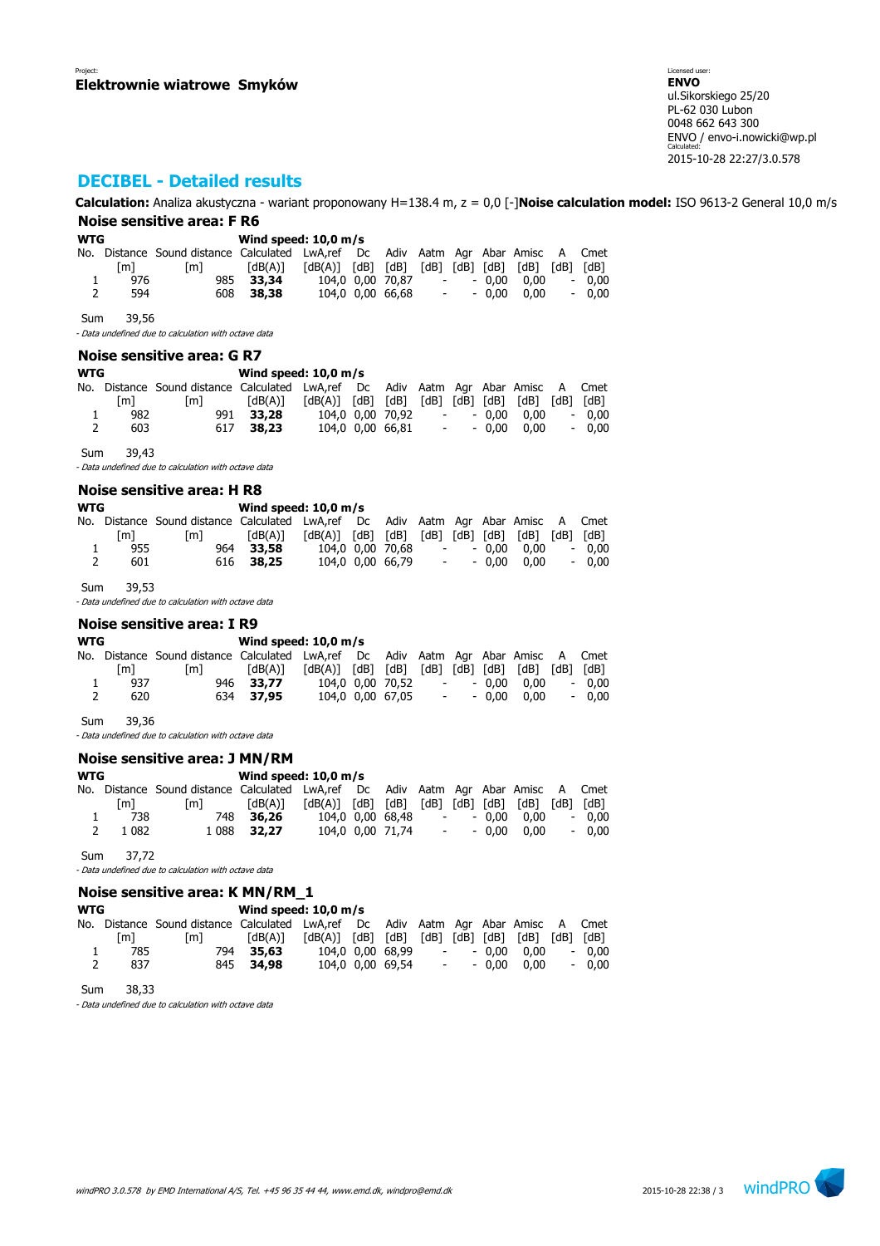# **DECIBEL - Detailed results**

**Calculation:** Analiza akustyczna - wariant proponowany H=138.4 m, z = 0,0 [-]**Noise calculation model:** ISO 9613-2 General 10,0 m/s **Noise sensitive area: F R6**

| <b>WTG</b> |     |                                                                               | Wind speed: $10.0$ m/s |                         |  |                  |                          |                  |         |      |                          |      |  |
|------------|-----|-------------------------------------------------------------------------------|------------------------|-------------------------|--|------------------|--------------------------|------------------|---------|------|--------------------------|------|--|
| No.        |     | Distance Sound distance Calculated LwA,ref Dc Adiv Aatm Agr Abar Amisc A Cmet |                        |                         |  |                  |                          |                  |         |      |                          |      |  |
|            | [m] | [m]                                                                           | [dB(A)]                | $[dB(A)]$ $[dB]$ $[dB]$ |  |                  | [dB]                     | [dB] [dB]        |         | [dB] | [dB]                     | [dB] |  |
|            | 976 | 985                                                                           | 33,34                  |                         |  | 104.0 0.00 70.87 |                          | $\sim$ 100 $\mu$ | $-0.00$ | 0.00 | $\overline{\phantom{0}}$ | 0.00 |  |
| 2          | 594 | 608                                                                           | 38,38                  |                         |  | 104.0 0.00 66.68 | $\overline{\phantom{a}}$ |                  | $-0.00$ | 0.00 | $\overline{\phantom{a}}$ | 0.00 |  |
|            |     |                                                                               |                        |                         |  |                  |                          |                  |         |      |                          |      |  |

Sum 39,56

- Data undefined due to calculation with octave data

#### **Noise sensitive area: G R7**

| WTG | Wind speed: $10,0$ m/s |
|-----|------------------------|
|     |                        |

|   |       | No. Distance Sound-distance Calculated LwA.ref Dc Adiv Aatm Agr Abar Amisc A Cmet |           |                                                                                                                                                            |                  |  |                |         |
|---|-------|-----------------------------------------------------------------------------------|-----------|------------------------------------------------------------------------------------------------------------------------------------------------------------|------------------|--|----------------|---------|
|   | [m] _ | im I                                                                              | [dB(A)]   | $\lceil dB(A) \rceil$ $\lceil dB \rceil$ $\lceil dB \rceil$ $\lceil dB \rceil$ $\lceil dB \rceil$ $\lceil dB \rceil$ $\lceil dB \rceil$ $\lceil dB \rceil$ |                  |  |                |         |
|   | 982   |                                                                                   | 991 33.28 | 104,0 0,00 70,92                                                                                                                                           |                  |  | - - 0.00 0.00  | $-0.00$ |
| 2 | 603   |                                                                                   | 617 38.23 |                                                                                                                                                            | 104,0 0,00 66,81 |  | $ -$ 0.00 0.00 | $-0.00$ |

Sum 39,43

- Data undefined due to calculation with octave data

#### **Noise sensitive area: H R8**

#### **WTG Wind speed: 10,0 m/s**

|   |      | No. Distance Sound distance Calculated LwA,ref Dc Adiv Aatm Agr Abar Amisc A Cmet |           |                                |  |            |             |         |
|---|------|-----------------------------------------------------------------------------------|-----------|--------------------------------|--|------------|-------------|---------|
|   | lm I | lmI –                                                                             | [dB(A)]   |                                |  |            |             |         |
|   | 955  |                                                                                   | 964 33.58 | 104,0 0,00 70,68 - - 0,00 0,00 |  |            |             | $-0.00$ |
| 2 | 601  |                                                                                   | 616 38.25 | 104,0 0,00 66,79               |  | $\sim 100$ | - 0.00 0.00 | $-0.00$ |

Sum 39,53

- Data undefined due to calculation with octave data

### **Noise sensitive area: I R9**

### **WTG Wind speed: 10,0 m/s**

|                |     | No. Distance Sound-distance Calculated LwA.ref Dc Adiv Aatm Agr Abar Amisc A Cmet |           |                                                                                                                                                            |                  |  |                                 |         |
|----------------|-----|-----------------------------------------------------------------------------------|-----------|------------------------------------------------------------------------------------------------------------------------------------------------------------|------------------|--|---------------------------------|---------|
|                | [m] | $\lceil m \rceil$                                                                 | [dB(A)]   | $\lceil dB(A) \rceil$ $\lceil dB \rceil$ $\lceil dB \rceil$ $\lceil dB \rceil$ $\lceil dB \rceil$ $\lceil dB \rceil$ $\lceil dB \rceil$ $\lceil dB \rceil$ |                  |  |                                 |         |
|                | 937 |                                                                                   | 946 33.77 |                                                                                                                                                            |                  |  | 104,0 0,00 70,52  - - 0,00 0.00 | $-0.00$ |
| $\overline{2}$ | 620 |                                                                                   | 634 37.95 |                                                                                                                                                            | 104,0 0,00 67,05 |  | $ -$ 0.00 0.00                  | $-0.00$ |

Sum 39,36

- Data undefined due to calculation with octave data

#### **Noise sensitive area: J MN/RM**

#### **WTG Wind speed: 10,0 m/s**

|   |       | No. Distance Sound-distance Calculated LwA,ref Dc Adiv Aatm Agr Abar Amisc A Cmet |              |                                             |  |  |                |         |
|---|-------|-----------------------------------------------------------------------------------|--------------|---------------------------------------------|--|--|----------------|---------|
|   | [m]   | $\lceil m \rceil$                                                                 |              |                                             |  |  |                |         |
|   | - 738 |                                                                                   | 748 36.26    | $104.0$ 0.00 68.48 $-$ - 0.00 0.00 $-$ 0.00 |  |  |                |         |
| 2 | 1 082 |                                                                                   | 1 0 88 32.27 | 104,0 0,00 71,74                            |  |  | $ -$ 0.00 0.00 | $-0.00$ |

Sum 37,72

- Data undefined due to calculation with octave data

### **Noise sensitive area: K MN/RM\_1**

| <b>WTG</b> |  |  |  |  |  | Wind speed: $10,0$ m/s |  |
|------------|--|--|--|--|--|------------------------|--|
|            |  |  |  |  |  |                        |  |

|      | No. Distance Sound-distance Calculated LwA.ref Dc Adiv Aatm Agr Abar Amisc A Cmet |           |                  |                  |        |                |         |
|------|-----------------------------------------------------------------------------------|-----------|------------------|------------------|--------|----------------|---------|
| ím1. | $\mathsf{Im}\mathsf{L}$                                                           | [dB(A)]   |                  |                  |        |                |         |
| 785  |                                                                                   | 794 35.63 | 104.0 0.00 68.99 |                  |        | $ -$ 0.00 0.00 | $-0.00$ |
| 837  |                                                                                   | 845 34,98 |                  | 104,0 0,00 69,54 | $\sim$ | $-0.00$ $0.00$ | $-0.00$ |

Sum 38,33

- Data undefined due to calculation with octave data

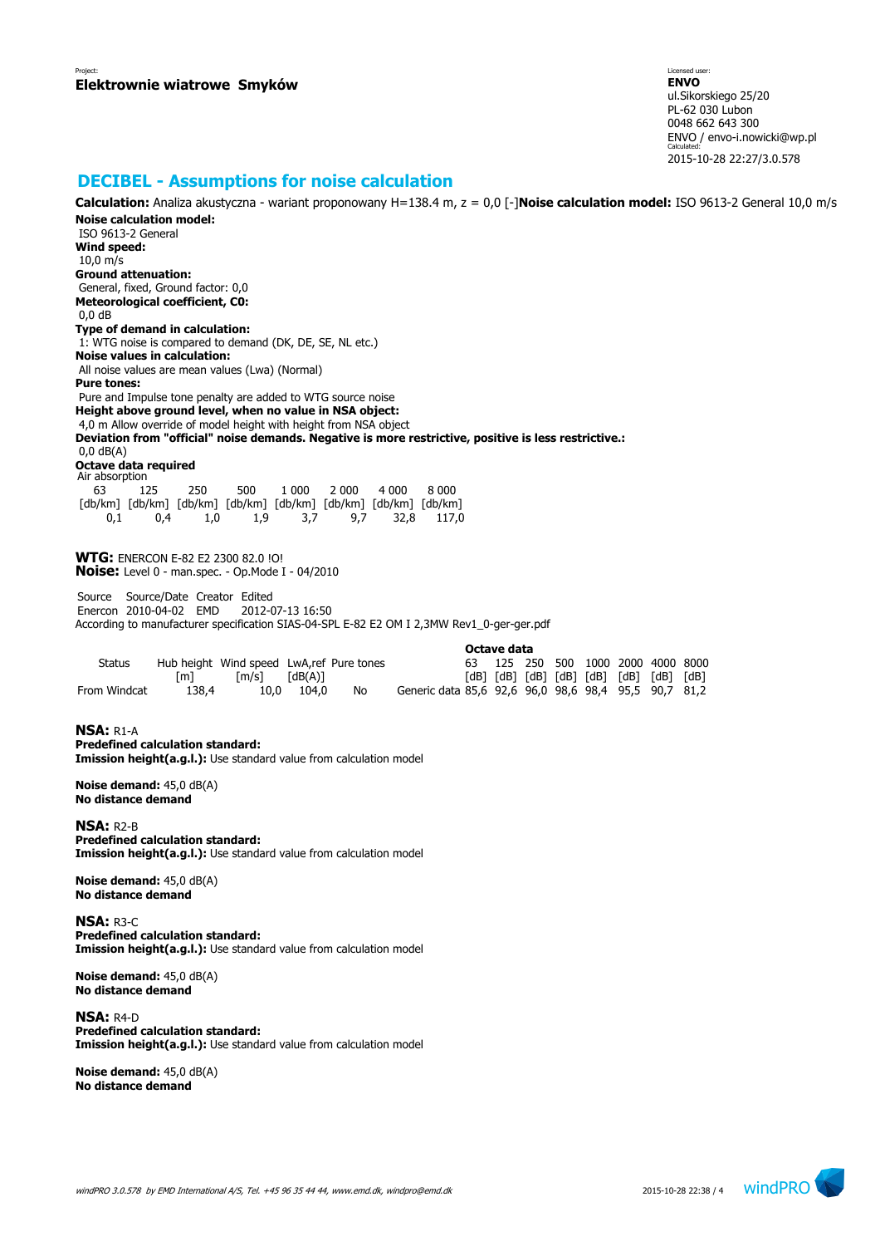## **DECIBEL - Assumptions for noise calculation**

**Noise calculation model:** ISO 9613-2 General **Wind speed:** 10,0 m/s **Ground attenuation:** General, fixed, Ground factor: 0,0 **Meteorological coefficient, C0:** 0,0 dB **Type of demand in calculation:** 1: WTG noise is compared to demand (DK, DE, SE, NL etc.) **Noise values in calculation:** All noise values are mean values (Lwa) (Normal) **Pure tones:** Pure and Impulse tone penalty are added to WTG source noise **Height above ground level, when no value in NSA object:** 4,0 m Allow override of model height with height from NSA object **Deviation from "official" noise demands. Negative is more restrictive, positive is less restrictive.:** 0,0 dB(A) **Octave data required** Air absorption 63 125 250 500 1 000 2 000 4 000 8 000 [db/km] [db/km] [db/km] [db/km] [db/km] [db/km] [db/km] [db/km] 0,1 0,4 1,0 1,9 3,7 9,7 32,8 117,0 **WTG:** ENERCON E-82 E2 2300 82.0 !O! **Noise:** Level 0 - man.spec. - Op.Mode I - 04/2010 Source Source/Date Creator Edited Enercon 2010-04-02 EMD 2012-07-13 16:50 According to manufacturer specification SIAS-04-SPL E-82 E2 OM I 2,3MW Rev1\_0-ger-ger.pdf **Octave data** Status Hub height Wind speed LwA,ref Pure tones<br>
[m] [m/s] [dB(A)]<br>
m Windcat 138,4 10,0 104,0 No [m] [m/s] [dB(A)] [dB] [dB] [dB] [dB] [dB] [dB] [dB] [dB] From Windcat 138,4 10,0 104,0 No Generic data 85,6 92,6 96,0 98,6 98,4 95,5 90,7 81,2 **NSA:** R1-A **Predefined calculation standard: Imission height(a.g.l.):** Use standard value from calculation model

**Calculation:** Analiza akustyczna - wariant proponowany H=138.4 m, z = 0,0 [-]**Noise calculation model:** ISO 9613-2 General 10,0 m/s

**Noise demand:** 45,0 dB(A) **No distance demand**

**NSA:** R2-B **Predefined calculation standard: Imission height(a.g.l.):** Use standard value from calculation model

**Noise demand:** 45,0 dB(A) **No distance demand**

**NSA:** R3-C **Predefined calculation standard: Imission height(a.g.l.):** Use standard value from calculation model

**Noise demand:** 45,0 dB(A) **No distance demand**

**NSA:** R4-D **Predefined calculation standard: Imission height(a.g.l.):** Use standard value from calculation model

**Noise demand:** 45,0 dB(A) **No distance demand**